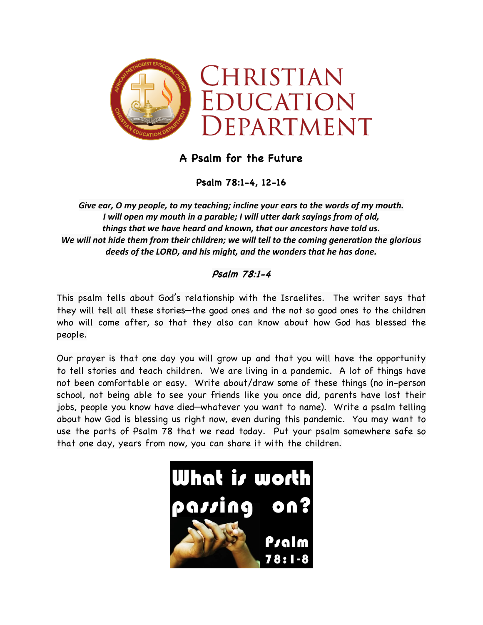

## **A Psalm for the Future**

**Psalm 78:1-4, 12-16**

*Give ear, O my people, to my teaching; incline your ears to the words of my mouth. I will open my mouth in a parable; I will utter dark sayings from of old, things that we have heard and known, that our ancestors have told us. We will not hide them from their children; we will tell to the coming generation the glorious deeds of the LORD, and his might, and the wonders that he has done.*

## **Psalm 78:1-4**

This psalm tells about God's relationship with the Israelites. The writer says that they will tell all these stories—the good ones and the not so good ones to the children who will come after, so that they also can know about how God has blessed the people.

Our prayer is that one day you will grow up and that you will have the opportunity to tell stories and teach children. We are living in a pandemic. A lot of things have not been comfortable or easy. Write about/draw some of these things (no in-person school, not being able to see your friends like you once did, parents have lost their jobs, people you know have died—whatever you want to name). Write a psalm telling about how God is blessing us right now, even during this pandemic. You may want to use the parts of Psalm 78 that we read today. Put your psalm somewhere safe so that one day, years from now, you can share it with the children.